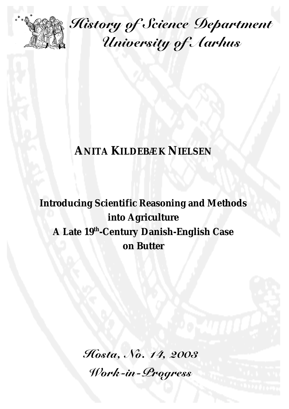

History of Science Department University of Aarhus

# **ANITA KILDEBÆK NIELSEN**

**Introducing Scientific Reasoning and Methods into Agriculture A Late 19th-Century Danish-English Case on Butter**

> Hosta, No. 14, 2003 Work-in-Lrogress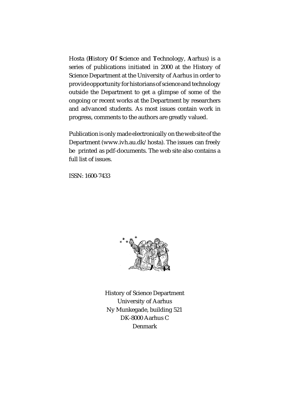Hosta (**H**istory **O**f **S**cience and **T**echnology, **A**arhus) is a series of publications initiated in 2000 at the History of Science Department at the University of Aarhus in order to provide opportunity for historians of science and technology outside the Department to get a glimpse of some of the ongoing or recent works at the Department by researchers and advanced students. As most issues contain work in progress, comments to the authors are greatly valued.

Publication is only made electronically on the web site of the Department (www.ivh.au.dk/hosta). The issues can freely be printed as pdf-documents. The web site also contains a full list of issues.

ISSN: 1600-7433



History of Science Department University of Aarhus Ny Munkegade, building 521 DK-8000 Aarhus C Denmark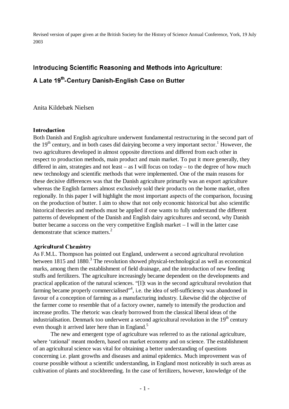Revised version of paper given at the British Society for the History of Science Annual Conference, York, 19 July 2003

## Introducing Scientific Reasoning and Methods into Agriculture: A Late 19<sup>th</sup>-Century Danish-English Case on Butter

Anita Kildebæk Nielsen

#### Introduction

Both Danish and English agriculture underwent fundamental restructuring in the second part of the  $19<sup>th</sup>$  century, and in both cases did dairying become a very important sector.<sup>1</sup> However, the two agricultures developed in almost opposite directions and differed from each other in respect to production methods, main product and main market. To put it more generally, they differed in aim, strategies and not least – as I will focus on today – to the degree of how much new technology and scientific methods that were implemented. One of the main reasons for these decisive differences was that the Danish agriculture primarily was an export agriculture whereas the English farmers almost exclusively sold their products on the home market, often regionally. In this paper I will highlight the most important aspects of the comparison, focusing on the production of butter. I aim to show that not only economic historical but also scientific historical theories and methods must be applied if one wants to fully understand the different patterns of development of the Danish and English dairy agricultures and second, why Danish butter became a success on the very competitive English market – I will in the latter case demonstrate that science matters.<sup>2</sup>

#### **Agricultural Chemistry**

As F.M.L. Thompson has pointed out England, underwent a second agricultural revolution between 1815 and 1880.<sup>3</sup> The revolution showed physical-technological as well as economical marks, among them the establishment of field drainage, and the introduction of new feeding stuffs and fertilizers. The agriculture increasingly became dependent on the developments and practical application of the natural sciences. "[I]t was in the second agricultural revolution that farming became properly commercialised"<sup>4</sup>, i.e. the idea of self-sufficiency was abandoned in favour of a conception of farming as a manufacturing industry. Likewise did the objective of the farmer come to resemble that of a factory owner, namely to intensify the production and increase profits. The rhetoric was clearly borrowed from the classical liberal ideas of the industrialisation. Denmark too underwent a second agricultural revolution in the 19<sup>th</sup> century even though it arrived later here than in England.<sup>5</sup>

The new and emergent type of agriculture was referred to as the rational agriculture, where 'rational' meant modern, based on market economy and on science. The establishment of an agricultural science was vital for obtaining a better understanding of questions concerning i.e. plant growths and diseases and animal epidemics. Much improvement was of course possible without a scientific understanding, in England most noticeably in such areas as cultivation of plants and stockbreeding. In the case of fertilizers, however, knowledge of the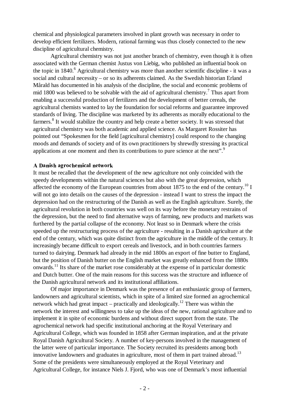chemical and physiological parameters involved in plant growth was necessary in order to develop efficient fertilizers. Modern, rational farming was thus closely connected to the new discipline of agricultural chemistry.

Agricultural chemistry was not just another branch of chemistry, even though it is often associated with the German chemist Justus von Liebig, who published an influential book on the topic in 1840.<sup>6</sup> Agricultural chemistry was more than another scientific discipline - it was a social and cultural necessity – or so its adherents claimed. As the Swedish historian Erland Mårald has documented in his analysis of the discipline, the social and economic problems of mid 1800 was believed to be solvable with the aid of agricultural chemistry.<sup>7</sup> Thus apart from enabling a successful production of fertilizers and the development of better cereals, the agricultural chemists wanted to lay the foundation for social reforms and guarantee improved standards of living. The discipline was marketed by its adherents as morally educational to the farmers.<sup>8</sup> It would stabilize the country and help create a better society. It was stressed that agricultural chemistry was both academic and applied science. As Margaret Rossiter has pointed out "Spokesmen for the field [agricultural chemistry] could respond to the changing moods and demands of society and of its own practitioners by shrewdly stressing its practical applications at one moment and then its contributions to pure science at the next".<sup>9</sup>

#### A Danish agrochemical network

It must be recalled that the development of the new agriculture not only coincided with the speedy developments within the natural sciences but also with the great depression, which affected the economy of the European countries from about 1875 to the end of the century.<sup>10</sup> I will not go into details on the causes of the depression - instead I want to stress the impact the depression had on the restructuring of the Danish as well as the English agriculture. Surely, the agricultural revolution in both countries was well on its way before the monetary restrains of the depression, but the need to find alternative ways of farming, new products and markets was furthered by the partial collapse of the economy. Not least so in Denmark where the crisis speeded up the restructuring process of the agriculture - resulting in a Danish agriculture at the end of the century, which was quite distinct from the agriculture in the middle of the century. It increasingly became difficult to export cereals and livestock, and in both countries farmers turned to dairying. Denmark had already in the mid 1800s an export of fine butter to England, but the position of Danish butter on the English market was greatly enhanced from the 1880s onwards.11 Its share of the market rose considerably at the expense of in particular domestic and Dutch butter. One of the main reasons for this success was the structure and influence of the Danish agricultural network and its institutional affiliations.

Of major importance in Denmark was the presence of an enthusiastic group of farmers, landowners and agricultural scientists, which in spite of a limited size formed an agrochemical network which had great impact – practically and ideologically.<sup>12</sup> There was within the network the interest and willingness to take up the ideas of the new, rational agriculture and to implement it in spite of economic burdens and without direct support from the state. The agrochemical network had specific institutional anchoring at the Royal Veterinary and Agricultural College, which was founded in 1858 after German inspiration, and at the private Royal Danish Agricultural Society. A number of key-persons involved in the management of the latter were of particular importance. The Society recruited its presidents among both innovative landowners and graduates in agriculture, most of them in part trained abroad.<sup>13</sup> Some of the presidents were simultaneously employed at the Royal Veterinary and Agricultural College, for instance Niels J. Fjord, who was one of Denmark's most influential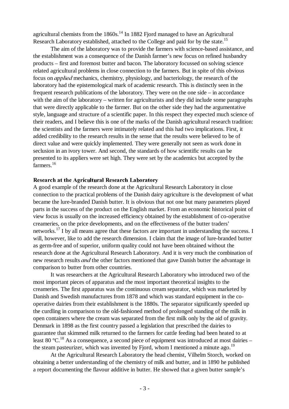agricultural chemists from the  $1860s$ .<sup>14</sup> In 1882 Fjord managed to have an Agricultural Research Laboratory established, attached to the College and paid for by the state.<sup>15</sup>

The aim of the laboratory was to provide the farmers with science-based assistance, and the establishment was a consequence of the Danish farmer's new focus on refined husbandry products – first and foremost butter and bacon. The laboratory focussed on solving science related agricultural problems in close connection to the farmers. But in spite of this obvious focus on *applied* mechanics, chemistry, physiology, and bacteriology, the research of the laboratory had the epistemological mark of academic research. This is distinctly seen in the frequent research publications of the laboratory. They were on the one side – in accordance with the aim of the laboratory – written for agriculturists and they did include some paragraphs that were directly applicable to the farmer. But on the other side they had the argumentative style, language and structure of a scientific paper. In this respect they expected much science of their readers, and I believe this is one of the marks of the Danish agricultural research tradition: the scientists and the farmers were intimately related and this had two implications. First, it added credibility to the research results in the sense that the results were believed to be of direct value and were quickly implemented. They were generally not seen as work done in seclusion in an ivory tower. And second, the standards of how scientific results can be presented to its appliers were set high. They were set by the academics but accepted by the farmers.<sup>16</sup>

#### Research at the Agricultural Research Laboratory

A good example of the research done at the Agricultural Research Laboratory in close connection to the practical problems of the Danish dairy agriculture is the development of what became the lure-branded Danish butter. It is obvious that not one but many parameters played parts in the success of the product on the English market. From an economic historical point of view focus is usually on the increased efficiency obtained by the establishment of co-operative creameries, on the price developments, and on the effectiveness of the butter traders' networks.<sup>17</sup> I by all means agree that these factors are important in understanding the success. I will, however, like to add the research dimension. I claim that the image of lure-branded butter as germ-free and of superior, uniform quality could not have been obtained without the research done at the Agricultural Research Laboratory. And it is very much the combination of new research results *and* the other factors mentioned that gave Danish butter the advantage in comparison to butter from other countries.

 It was researchers at the Agricultural Research Laboratory who introduced two of the most important pieces of apparatus and the most important theoretical insights to the creameries. The first apparatus was the continuous cream separator, which was marketed by Danish and Swedish manufactures from 1878 and which was standard equipment in the cooperative dairies from their establishment is the 1880s. The separator significantly speeded up the curdling in comparison to the old-fashioned method of prolonged standing of the milk in open containers where the cream was separated from the first milk only by the aid of gravity. Denmark in 1898 as the first country passed a legislation that prescribed the dairies to guarantee that skimmed milk returned to the farmers for cattle feeding had been heated to at least 80  $^{\circ}$ C.<sup>18</sup> As a consequence, a second piece of equipment was introduced at most dairies – the steam pasteurizer, which was invented by Fjord, whom I mentioned a minute ago.<sup>19</sup>

At the Agricultural Research Laboratory the head chemist, Vilhelm Storch, worked on obtaining a better understanding of the chemistry of milk and butter, and in 1890 he published a report documenting the flavour additive in butter. He showed that a given butter sample's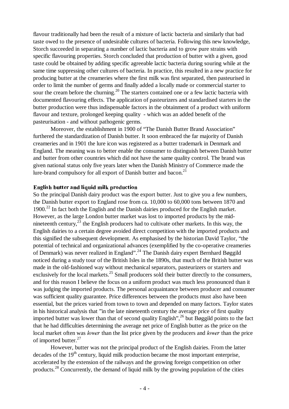flavour traditionally had been the result of a mixture of lactic bacteria and similarly that bad taste owed to the presence of undesirable cultures of bacteria. Following this new knowledge, Storch succeeded in separating a number of lactic bacteria and to grow pure strains with specific flavouring properties. Storch concluded that production of butter with a given, good taste could be obtained by adding specific agreeable lactic bacteria during souring while at the same time suppressing other cultures of bacteria. In practice, this resulted in a new practice for producing butter at the creameries where the first milk was first separated, then pasteurised in order to limit the number of germs and finally added a locally made or commercial starter to sour the cream before the churning.<sup>20</sup> The starters contained one or a few lactic bacteria with documented flavouring effects. The application of pasteurizers and standardised starters in the butter production were thus indispensable factors in the obtainment of a product with uniform flavour and texture, prolonged keeping quality - which was an added benefit of the pasteurisation - and without pathogenic germs.

 Moreover, the establishment in 1900 of "The Danish Butter Brand Association" furthered the standardization of Danish butter. It soon embraced the far majority of Danish creameries and in 1901 the lure icon was registered as a butter trademark in Denmark and England. The meaning was to better enable the consumer to distinguish between Danish butter and butter from other countries which did not have the same quality control. The brand was given national status only five years later when the Danish Ministry of Commerce made the lure-brand compulsory for all export of Danish butter and bacon.<sup>21</sup>

#### English butter and liquid milk production

So the principal Danish dairy product was the export butter. Just to give you a few numbers, the Danish butter export to England rose from ca. 10,000 to 60,000 tons between 1870 and 1900.<sup>22</sup> In fact both the English and the Danish dairies produced for the English market. However, as the large London butter market was lost to imported products by the midnineteenth century,  $^{23}$  the English producers had to cultivate other markets. In this way, the English dairies to a certain degree avoided direct competition with the imported products and this signified the subsequent development. As emphasised by the historian David Taylor, "the potential of technical and organizational advances (exemplified by the co-operative creameries of Denmark) was never realized in England".<sup>24</sup> The Danish dairy expert Bernhard Bøggild noticed during a study tour of the British Isles in the 1890s, that much of the British butter was made in the old-fashioned way without mechanical separators, pasteurizers or starters and exclusively for the local markets.<sup>25</sup> Small producers sold their butter directly to the consumers, and for this reason I believe the focus on a uniform product was much less pronounced than it was judging the imported products. The personal acquaintance between producer and consumer was sufficient quality guarantee. Price differences between the products must also have been essential, but the prices varied from town to town and depended on many factors. Taylor states in his historical analysis that "in the late nineteenth century the average price of first quality imported butter was lower than that of second quality English",<sup>26</sup> but Bøggild points to the fact that he had difficulties determining the average net price of English butter as the price on the local market often was *lower* than the list price given by the producers and *lower* than the price of imported butter.<sup>27</sup>

 However, butter was not the principal product of the English dairies. From the latter decades of the  $19<sup>th</sup>$  century, liquid milk production became the most important enterprise, accelerated by the extension of the railways and the growing foreign competition on other products.28 Concurrently, the demand of liquid milk by the growing population of the cities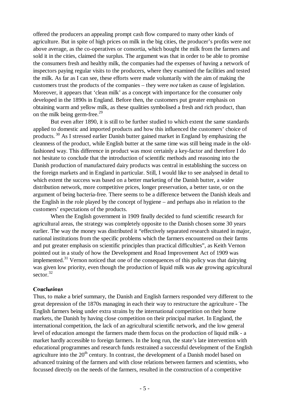offered the producers an appealing prompt cash flow compared to many other kinds of agriculture. But in spite of high prices on milk in the big cities, the producer's profits were not above average, as the co-operatives or consortia, which bought the milk from the farmers and sold it in the cities, claimed the surplus. The argument was that in order to be able to promise the consumers fresh and healthy milk, the companies had the expenses of having a network of inspectors paying regular visits to the producers, where they examined the facilities and tested the milk. As far as I can see, these efforts were made voluntarily with the aim of making the customers trust the products of the companies – they were *not* taken as cause of legislation. Moreover, it appears that 'clean milk' as a concept with importance for the consumer only developed in the 1890s in England. Before then, the customers put greater emphasis on obtaining warm and yellow milk, as these qualities symbolised a fresh and rich product, than on the milk being germ-free. $^{29}$ 

But even after 1890, it is still to be further studied to which extent the same standards applied to domestic and imported products and how this influenced the customers' choice of products. 30 As I stressed earlier Danish butter gained market in England by emphasizing the cleanness of the product, while English butter at the same time was still being made in the oldfashioned way. This difference in product was most certainly a key-factor and therefore I do not hesitate to conclude that the introduction of scientific methods and reasoning into the Danish production of manufactured dairy products was central in establishing the success on the foreign markets and in England in particular. Still, I would like to see analysed in detail to which extent the success was based on a better marketing of the Danish butter, a wider distribution network, more competitive prices, longer preservation, a better taste, or on the argument of being bacteria-free. There seems to be a difference between the Danish ideals and the English in the role played by the concept of hygiene – and perhaps also in relation to the customers' expectations of the products.

 When the English government in 1909 finally decided to fund scientific research for agricultural areas, the strategy was completely opposite to the Danish chosen some 30 years earlier. The way the money was distributed it "effectively separated research situated in major, national institutions from the specific problems which the farmers encountered on their farms and put greater emphasis on scientific principles than practical difficulties", as Keith Vernon pointed out in a study of how the Development and Road Improvement Act of 1909 was implemented. $31$  Vernon noticed that one of the consequences of this policy was that dairying was given low priority, even though the production of liquid milk was the growing agricultural sector.<sup>32</sup>

#### Conclusions

Thus, to make a brief summary, the Danish and English farmers responded very different to the great depression of the 1870s managing in each their way to restructure the agriculture - The English farmers being under extra strains by the international competition on their home markets, the Danish by having close competition on their principal market. In England, the international competition, the lack of an agricultural scientific network, and the low general level of education amongst the farmers made them focus on the production of liquid milk - a market hardly accessible to foreign farmers. In the long run, the state's late intervention with educational programmes and research funds restrained a successful development of the English agriculture into the  $20<sup>th</sup>$  century. In contrast, the development of a Danish model based on advanced training of the farmers and with close relations between farmers and scientists, who focussed directly on the needs of the farmers, resulted in the construction of a competitive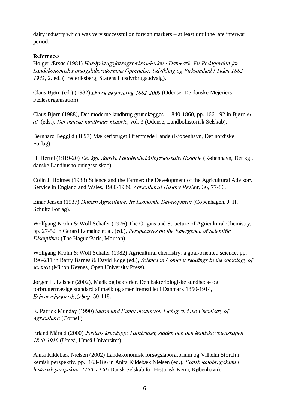dairy industry which was very successful on foreign markets – at least until the late interwar period.

### References

Holger Ærsøe (1981) Husdyrbrugsforsøgsvirksomheden i Danmark. En Redegørelse for Landokonomisk Forsøgslaboratoriums Oprettelse, Udvikling og Virksomhed i Tiden 1882-, 2. ed. (Frederiksberg, Statens Husdyrbrugsudvalg).

Claus Bjørn (ed.) (1982) Dansk mejeribrug 1882-2000 (Odense, De danske Mejeriers Fællesorganisation).

Claus Bjørn (1988), Det moderne landbrug grundlægges - 1840-1860, pp. 166-192 in Bjørn et al. (eds.), Det danske landbrugs historie, vol. 3 (Odense, Landbohistorisk Selskab).

Bernhard Bøggild (1897) Mælkeribruget i fremmede Lande (Kjøbenhavn, Det nordiske Forlag).

H. Hertel (1919-20) Det kgl. danske Landhusholdningsselskabs Historie (København, Det kgl. danske Landhusholdningsselskab).

Colin J. Holmes (1988) Science and the Farmer: the Development of the Agricultural Advisory Service in England and Wales, 1900-1939, Agricultural History Review, 36, 77-86.

Einar Jensen (1937) Danish Agriculture. Its Economic Development (Copenhagen, J. H. Schultz Forlag).

Wolfgang Krohn & Wolf Schäfer (1976) The Origins and Structure of Agricultural Chemistry, pp. 27-52 in Gerard Lemaine et al. (ed.), *Perspectives on the Emergence of Scientific* Disciplines (The Hague/Paris, Mouton).

Wolfgang Krohn & Wolf Schäfer (1982) Agricultural chemistry: a goal-oriented science, pp. 196-211 in Barry Barnes & David Edge (ed.), Science in Context: readings in the sociology of science (Milton Keynes, Open University Press).

Jørgen L. Leisner (2002), Mælk og bakterier. Den bakteriologiske sundheds- og forbrugermæsige standard af mælk og smør fremstillet i Danmark 1850-1914,  $E$ rhvervshistorisk Årbog, 50-118.

E. Patrick Munday (1990) Sturm und Dung: Justus von Liebig and the Chemistry of Agriculture (Cornell).

Erland Mårald (2000) Jordens kretslopp: Lantbruket, staden och den kemiska vetenskapen 1840-1910 (Umeå, Umeå Universitet).

Anita Kildebæk Nielsen (2002) Landøkonomisk forsøgslaboratorium og Vilhelm Storch i kemisk perspektiv, pp. 163-186 in Anita Kildebæk Nielsen (ed.), Dansk landbrugskemi i historisk perspektiv, 1750-1930 (Dansk Selskab for Historisk Kemi, København).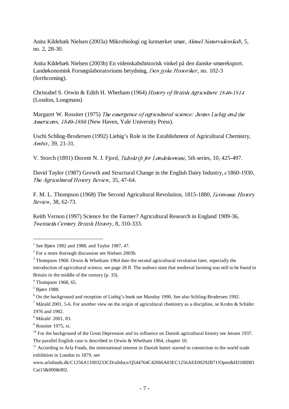Anita Kildebæk Nielsen (2003a) Mikrobiologi og lurmærket smør, Aktuel Naturvidenskab, 5, no. 2, 28-30.

Anita Kildebæk Nielsen (2003b) En videnskabshistorisk vinkel på den danske smøreksport. Landøkonomisk Forsøgslaboratoriums betydning, Den jyske Historiker, no. 102-3 (forthcoming).

Christabel S. Orwin & Edith H. Whetham (1964) History of British Agriculture 1846-1914 (London, Longmans)

Margaret W. Rossiter (1975) The emergence of agricultural science: Justus Liebig and the Americans, 1840-1880 (New Haven, Yale University Press).

Uschi Schling-Brodersen (1992) Liebig's Role in the Establishment of Agricultural Chemistry, Ambix, 39, 21-31.

V. Storch (1891) Docent N. J. Fjord, Tidsskrift for Landøkonomi, 5th series, 10, 425-497.

David Taylor (1987) Growth and Structural Change in the English Dairy Industry,  $c1860-1930$ , The Agricultural History Review, 35, 47-64.

F. M. L. Thompson (1968) The Second Agricultural Revolution, 1815-1880, *Economic History* Review, 38, 62-73.

Keith Vernon (1997) Science for the Farmer? Agricultural Research in England 1909-36, Twentieth Century British History, 8, 310-333.

 $\overline{a}$ 

<sup>&</sup>lt;sup>1</sup> See Bjørn 1982 and 1988, and Taylor 1987, 47.

 $2^2$  For a more thorough discussion see Nielsen 2003b.

 $3$  Thompson 1968. Orwin & Whetham 1964 date the second agricultural revolution later, especially the introduction of agricultural science, see page 28 ff. The authors state that medieval farming was still to be found in Britain in the middle of the century (p. 33).

<sup>4</sup> Thompson 1968, 65.

<sup>5</sup> Bjørn 1988.

<sup>&</sup>lt;sup>6</sup> On the background and reception of Liebig's book see Munday 1990. See also Schling-Brodersen 1992.

<sup>&</sup>lt;sup>7</sup> Mårald 2001, 5-6. For another view on the origin of agricultural chemistry as a discipline, se Krohn & Schäfer 1976 and 1982.

<sup>8</sup> Mårald 2001, 83.

<sup>&</sup>lt;sup>9</sup> Rossiter 1975, xi.

<sup>&</sup>lt;sup>10</sup> For the background of the Great Depression and its influence on Danish agricultural history see Jensen 1937. The parallel English case is described in Orwin & Whetham 1964, chapter 10.

 $11$  According to Arla Foods, the international interest in Danish butter started in connection to the world trade exhibition in London in 1879, see

www.arlafoods.dk/C1256A11003233CD/alldocs/Q544764C42066A03EC1256AEE00292B71!Open&HJ100D01 Cat15&000&002.